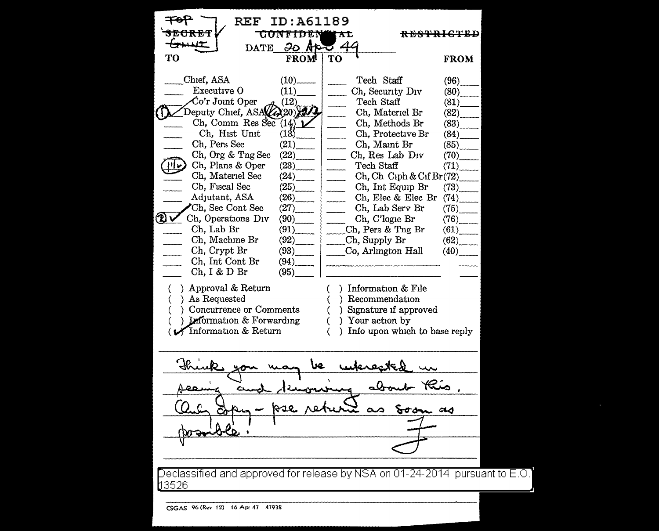| REF<br>ID:A61189<br><b>UUNICIJIA</b> N<br>IXL<br>$30$ Ap<br>$\mathbf{DATE}$                                                                                                                                                                                                                                                                                                                                                                                             |                                                                                                                                                                                    |                                                                                                                                                                                                                                                                                                                                                                           | <del>RESTRICTED</del>                                                                                                                |                                                                                                                              |  |
|-------------------------------------------------------------------------------------------------------------------------------------------------------------------------------------------------------------------------------------------------------------------------------------------------------------------------------------------------------------------------------------------------------------------------------------------------------------------------|------------------------------------------------------------------------------------------------------------------------------------------------------------------------------------|---------------------------------------------------------------------------------------------------------------------------------------------------------------------------------------------------------------------------------------------------------------------------------------------------------------------------------------------------------------------------|--------------------------------------------------------------------------------------------------------------------------------------|------------------------------------------------------------------------------------------------------------------------------|--|
| TО                                                                                                                                                                                                                                                                                                                                                                                                                                                                      | FROM                                                                                                                                                                               | TО                                                                                                                                                                                                                                                                                                                                                                        |                                                                                                                                      | <b>FROM</b>                                                                                                                  |  |
| Chief, ASA<br>Executive O<br>$Co'r$ Joint Oper<br>Deputy Chief, ASA<br>Ch, Comm Res Sec $(14)$<br>Ch, Hist Unit<br>Ch, Pers Sec<br>Ch, Org & Tng Sec<br>Ch, Plans & Oper<br>Ch, Materiel Sec<br>Ch, Fiscal Sec<br>Adjutant, ASA<br>Ch, Sec Cont Sec<br>(L) 1<br>Ch, Operations Div<br>Ch, Lab Br<br>Ch, Machine Br<br>Ch, Crypt Br<br>Ch, Int Cont Br<br>Ch, I & D Br<br>) Approval & Return<br>) As Requested<br>) Concurrence or Comments<br>Information & Forwarding | $(10)$ <sub>-------</sub><br>(11)<br>(12)<br>2(20)<br>(13)<br>(21)<br>(22)<br>(23)<br>(24)<br>(25)<br>(26)<br>(27)<br>(90)<br>(91)<br>(92)<br>(93)<br>$(94)$ <sub>--</sub><br>(95) | Tech Staff<br>Ch, Security Div<br>Tech Staff<br>Ch, Materiel Br<br>Ch, Methods Br<br>Ch, Protective Br<br>Ch, Maint Br<br>Ch, Res Lab Div<br>Tech Staff<br>Ch, Int Equip Br<br>Ch, Lab Serv Br<br>Ch, C'logic Br<br>Ch. Pers & Tng Br<br>Ch, Supply Br<br>Co, Arlington Hall<br>Information & File<br>λ.<br>Recommendation<br>) Signature if approved<br>) Your action by | $\operatorname{Ch}$ , $\operatorname{Ch}$ $\operatorname{Ciph}$ & $\operatorname{Cif}$ $\operatorname{Br}(72)$<br>Ch, Elec & Elec Br | (96)<br>(80)<br>(81)<br>(82)<br>(83)<br>(84)<br>(85)<br>(70)<br>(71)<br>(73)<br>(74)<br>(75)<br>(76)<br>(61)<br>(62)<br>(40) |  |
| Information & Return                                                                                                                                                                                                                                                                                                                                                                                                                                                    |                                                                                                                                                                                    | Info upon which to base reply<br>Y.                                                                                                                                                                                                                                                                                                                                       |                                                                                                                                      |                                                                                                                              |  |
|                                                                                                                                                                                                                                                                                                                                                                                                                                                                         |                                                                                                                                                                                    |                                                                                                                                                                                                                                                                                                                                                                           |                                                                                                                                      |                                                                                                                              |  |
|                                                                                                                                                                                                                                                                                                                                                                                                                                                                         |                                                                                                                                                                                    |                                                                                                                                                                                                                                                                                                                                                                           |                                                                                                                                      |                                                                                                                              |  |
|                                                                                                                                                                                                                                                                                                                                                                                                                                                                         |                                                                                                                                                                                    |                                                                                                                                                                                                                                                                                                                                                                           |                                                                                                                                      |                                                                                                                              |  |
| eclassified and approved for release by NSA on 01-24-2014 pursuant to E.O.'<br><u>3526</u>                                                                                                                                                                                                                                                                                                                                                                              |                                                                                                                                                                                    |                                                                                                                                                                                                                                                                                                                                                                           |                                                                                                                                      |                                                                                                                              |  |

CSGAS 96 (R•v 12) 16 Apr 47 47938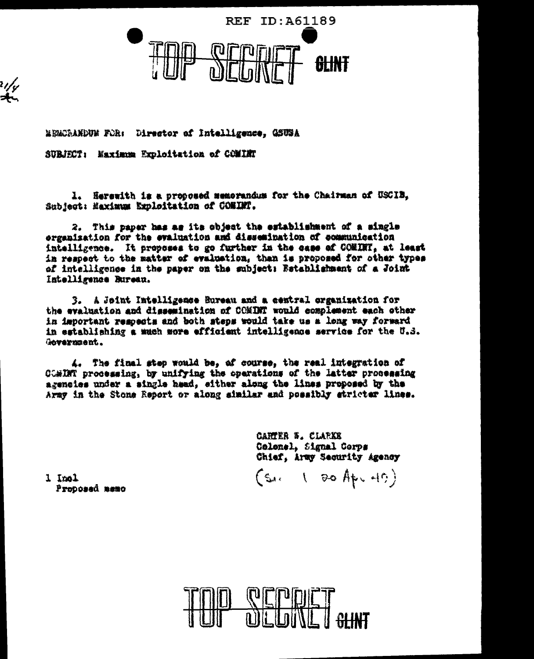**REF ID:A61189** 

MEMORANDUM FOR: Director of Intelligence, GSUSA

SUBJECT: Maximum Exploitation of COMINT

ر/رہ<br>جات

1. Herewith is a proposed memorandum for the Chairman of USCIB. Subject: Maximum Exploitation of COMINT.

2. This paper has as its object the establishment of a single organization for the evaluation and dissemination of communication intelligence. It proposes to go further in the case of COMINT, at least in respect to the matter of evaluation, than is proposed for other types of intelligence in the paper on the subject: Bstablishment of a Joint Intelligence Bureau.

A Joint Intelligence Bureau and a central organization for з. the evaluation and dissemination of COMINT would complement each other in important rempects and both steps would take us a long way forward in establishing a much more efficient intelligence service for the U.S. Government.

4. The final step would be, of course, the real integration of CCMINT processing, by unifying the operations of the latter processing agencies under a single haad, either along the lines proposed by the Army in the Stone Report or along similar and possibly stricter lines.

> CARTER &. CLARKE Colonel, Signal Corps Chief, Army Security Agency

 $(s_4, 180$  Apr 40)

lonl I Proposad memo

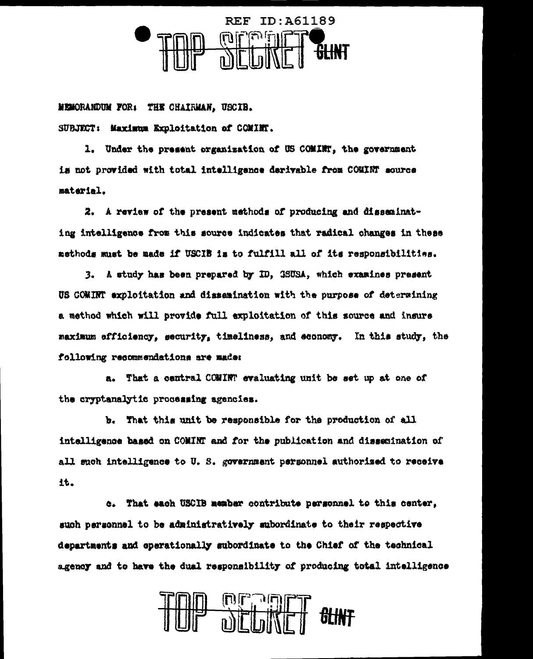

MEMORANDUM FOR: THE CHAIRMAN, USCIB.

SUBJECT: Maximum Exploitation of COMINT.

1. Under the present organization of US COMINT, the government is not provided with total intelligence derivable from COMINT source material.

2. A review of the present methods of producing and disseminating intelligence from this source indicates that radical changes in these methods must be made if USCIB is to fulfill all of its responsibilities.

3. A study has been prepared by ID, GSUSA, which examines present US COMINT exploitation and dissemination with the purpose of determining a method which will provide full exploitation of this source and insure maximum efficiency, security, timeliness, and sconomy. In this study, the following recommendations are made:

a. That a central COMINT evaluating unit be set up at one of the cryptanalytic processing agencies.

b. That this unit be responsible for the production of all intelligence based on COMINT and for the publication and dissemination of all such intelligence to U.S. government personnel authorized to receive it.

c. That each USCIB member contribute personnel to this center, such personnel to be administratively subordinate to their respective departments and operationally subordinate to the Chief of the technical agency and to have the dual responsibility of producing total intelligence

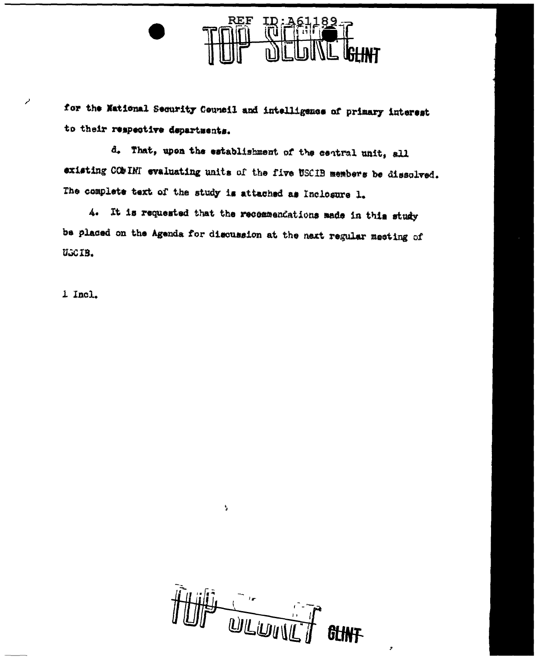

for the National Security Council and intelligence of primary interest to their respective departments.

d. That, upon the establishment of the central unit, all existing COMINT evaluating units of the five USCIB members be dissolved. The complete text of the study is attached as Inclosure 1.

4. It is requested that the recommendations made in this study be placed on the Agenda for discussion at the naxt regular meeting of UGCIB.

1 Incl.

أمم

**WEIDINI**  $\frac{1}{2}$ **GLINT** 

 $\lambda$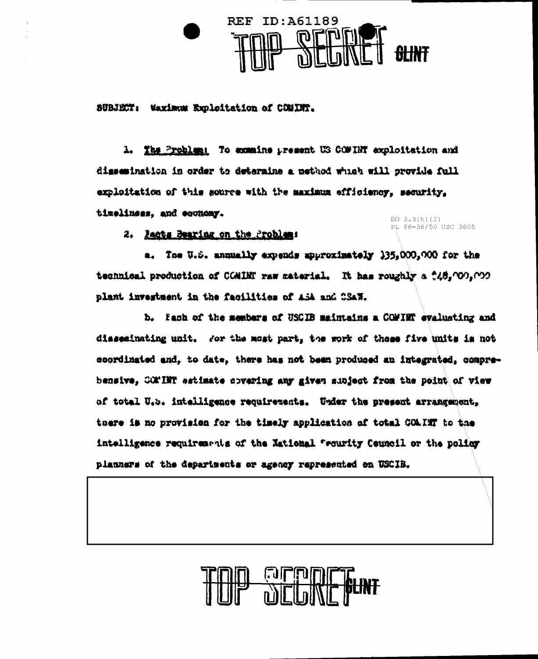

SUBJECT: Waximum Excloitation of COMINT.

1. The Problem: To examine present US COMTHY exploitation and digecmination in order to determine a method which will provide full exploitation of this source with the maximum efficiency, security. timeliness, and economy.

EO  $3.3(h)(2)$ PL 86-36/50 USC 3605

2. Racts Bearing on the Problem:

a. The U.S. annually expends approximately 135,000,000 for the technical production of COMIMT raw material. It has roughly a 248,000,000 plant investment in the facilities of ASA and CSAW.

b. Each of the members of USCIB maintains a COMINT evaluating and disseminating unit. For the most part, the work of these five units is not coordinated and, to date, there has not been produced an integrated, comprebensive, COMINT estimate covering any given subject from the point of view of total U.5. intalligence requirements. Under the present arrangement, tnere is no provision for the timely application of total COAINT to the intelligence requirements of the National frounity Council or the policy planners of the departments or agency represented on USCIB.

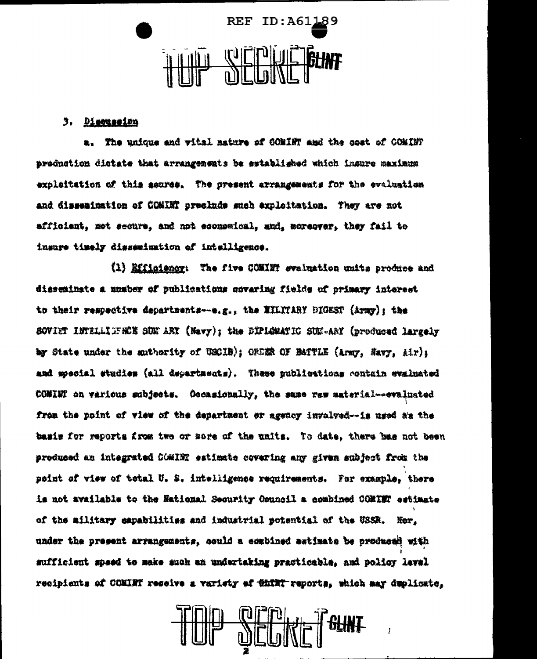

## 3. Dimension

a. The unique and wital nature of COMINT and the cost of COMINT prodnotion distate that arrangements be established which insure maximum exploitation of this seures. The present arrangements for the evaluation and dissemination of COMINT preclude such exploitation. They are not afficient, not secure, and not economical, and, moreover, they fail to insure timely dissemination of intelligence.

(1) Efficiency: The five COMINT evaluation units produce and disseminate a number of publications covering fields of primary interest to their respective departments--e.g., the NILITARY DIGEST (Army); the SOVIET INTELLIFER'S SUN ARY (Navy); the DIPLOMATIC SUN-ARY (produced largely by State under the authority of USCIB); ORDER OF BATTLE (Army, Navy, Air); and special studies (all departments). These publications contain evaluated COMINT on various subjects. Occasionally, the same waw material--evaluated from the point of view of the department or agency invalved--is used as the basis for reports from two or more of the units. To date, there has not been produced an integrated COMINT estimate covering any given subject from the peint of view of total U.S. intelligence requirements. For example, there is not available to the National Security Council a combined COMINT estimate of the military capabilities and industrial potential of the USSR. Nor. under the present arrangements, could a combined setimate be produced with sufficient speed to make such an undertaking practicable, and policy level recipients of COMINT receive a variety af thint reports, which may deplicate.

**All- Left Refer**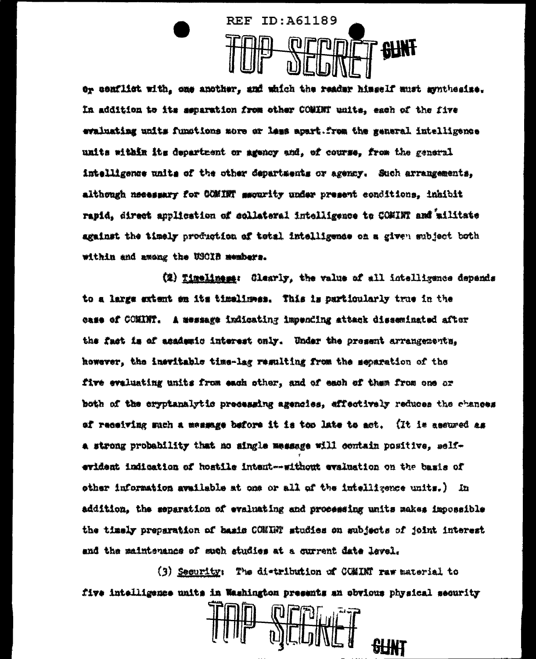

or conflict with, one another, and which the reader himself must synthesize. In addition to its separation from other COMINT units, each of the five evaluating units functions more or less apart. from the general intelligence units within its department or agency and. of course, from the general intelligence units of the other departments or agency. Such arrangements. although neeessary for COMINT sacurity under present conditions, inhibit rapid, direct application of collateral intelligence to COMINT and ailitate against the timely production of tetsl intelligence on a given subject both within and among the USCIB members.

(2) Timeliness: Clearly, the value of all intelligence depends to a large extent on its timelimes. This is particularly true in the case of COMINT. A message indicating impending attack disseminated after the fact is of asademic interest only. Under the present arrangements. however, the inevitable time-lag resulting from the separation of the five evaluating units from each other, and of each of them from one or both of the cryptanalytic precessing agencies, effectively reduces the chances of receiving such a messange before it is too late to act. (It is assured as a strong probability that no single message will contain positive, selfevident indication of hostile intent--without evaluation on the basis of other information available at one or all of the intelligence units.) In addition, the separation of evaluating and processing units makes impossible the timely preparation of basis CONINT studies on subjects of joint interest and the maintenance of such studies at a current date level.

(3) Security: The distribution of COMINT raw material to five intelligence units in Washington presents an obvious physical security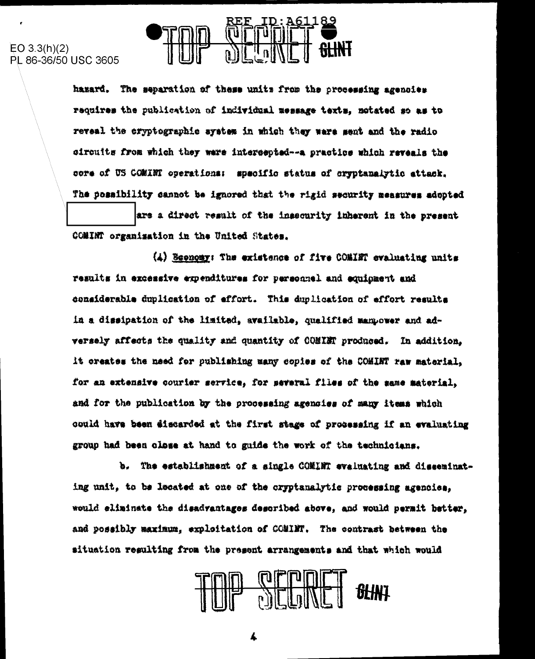



hazard. The separation of these units from the processing agencies requires the publication of individual message texts, notated so as to reveal the cryptographic system in which they ware ment and the radio circuits from which they ware intercepted -- a practice which reveals the core of US COMINT operations: specific status of cryptanalytic attack. The possibility cannot be ignored that the rigid security measures adopted

are a direct result of the insecurity inherent in the present COMINT organization in the United States.

(4) Seenomy: The existence of five COMINT evaluating units results in excessive expenditures for personnel and equipment and considerable duplication of effort. This duplication of effort results in a dissipation of the limited, available, qualified manpower and adversely affects the quality and quantity of COMINT produced. In addition, it creates the need for publishing many copies of the COMINT raw material, for an extensive courier service, for several flles of the same material, and for the publication by the processing agencies of many items which could have been #iscarded at the first stege of processing if an evaluating group had been close at hand to guide the work of the technicians.

b. The establishment of a single COMINT evaluating and disseminating unit, to be located at one of the cryptanalytic processing agencies. would eliminate the disadvantages described above, and would permit better. and possibly maximum, exploitation of COMINT. The contrast between the situation regulting from the present arrangements and that which would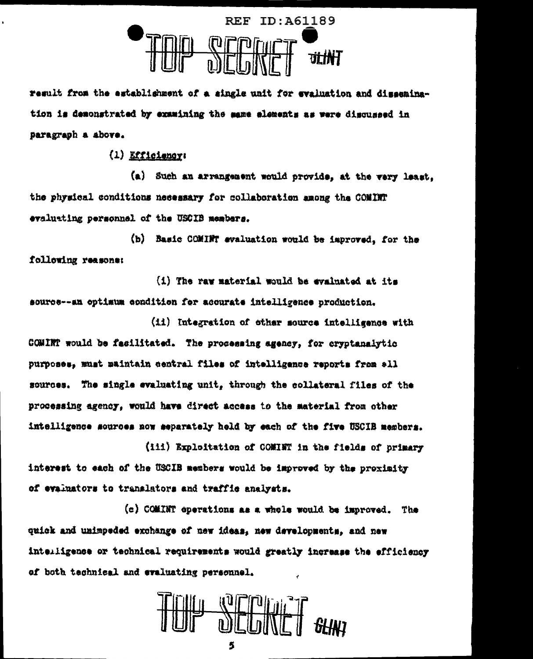

result from the establishment of a single unit for evaluation and dissemination is demonstrated by examining the same elements as were discussed in paragraph a above.

 $(1)$  *<u>Efficiency</u>* 

(a) Such an arrangement would provide, at the very least. the physical conditions necessary for collaboration among the COMINT evaluating personnel of the USCIB members.

(b) Basic COMINT evaluation would be improved, for the following reasons:

(i) The raw material would be evaluated at its source--an optimum condition for accurate intelligence production.

(ii) Integration of other source intelligence with COMINT would be facilitated. The processing agency, for cryptanalytic purposes, must maintain central files of intelligence reports from ell sources. The single evaluating unit, through the collateral files of the processing agency, would have direct access to the material from other intelligence sources now separately held by each of the five USCIB members.

(iii) Exploitation of COMINT in the fields of primary interest to each of the USCIB members would be improved by the proximity of evaluators to translators and traffic analysts.

(c) COMINT operations as a whole would be improved. The quick and unimpeded exchange of new ideas, new developments, and new intelligence or technical requirements would greatly increase the efficiency of both technical and evaluating personnel.

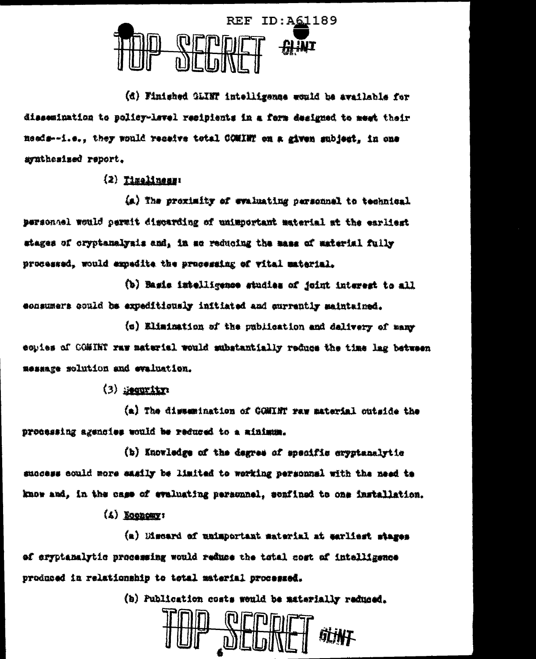

(d) Finished OLINT intelligenze would be available for dissemination to policy-level resipients in a ferm designed to meet their needs--i.e., they would receive total COMINT on a given subject. in one avathesized report.

 $(2)$  Timeliness:

(a) The proximity of evaluating personnel to technical personnel would permit discarding of unimportant material at the earliest stages of cryptanalysis and. in so reducing the mass of material fully processed, would expedite the processing of vital material.

(b) Basis intelligence studies of joint interest to all consumers could be expeditionaly initiated and currently maintained.

(c) Elimination of the publication and delivery of many conies of COMIKT raw material would substantially reduce the time lag between message solution and evaluation.

 $(3)$  seconting

(a) The dissemination of COMINT ray material outside the processing agencies would be reduced to a minimum.

(b) Knowledge of the degree of specific cryptanalytic success could more easily be limited to working personnal with the need to know and, in the case of evaluating personnel, senfined to one installation.

 $(4)$  Equatory:

(a) Discard of unimportant saterial at sarliest stages of eryptanalytic processing would reduce the total cost of intelligence produced in relationship to total material processed.

(b) Publication costs would be materially reduced.

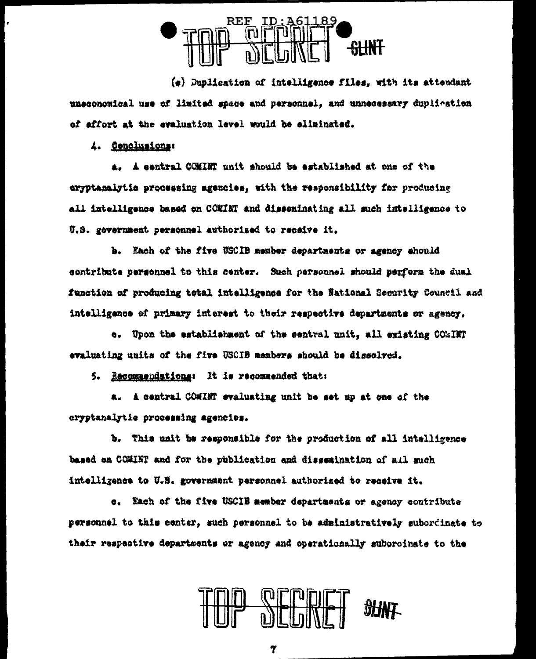

 $(e)$  Duplication of intelligence files, with its attendant uneconomical use of limited space and personnel, and unnecessary duplication of effort at the evaluation level would be sliminated.

4. Cenclusions:

a. A central COMINT unit should be established at one of the exyptanalytic processing agencies, with the responsibility for producing all intelligence based on COMINT and disseminating all such intelligence to U.S. gevernment personnel authorized to receive it.

b. Each of the five USCIB member departments or agency should contribute personnel to this center. Such personnel should perform the dual function of producing total intelligence for the National Security Council and intelligence of primary interest to their respective departments or agency.

e. Upon the establishment of the central unit, all existing COMINT evaluating units of the five USCIB members should be dissolved.

5. Recommendations: It is recommended that:

a. A central COMINT evaluating unit be set up at one of the cryptanalytic processing agencies.

b. This unit be responsible for the production of all intelligence based an COMINT and for the publication and dissemination of s.11 such intelligence to U.S. government personnel authorized to receive it.

e. Each of the five USCIB member departments or agency contribute personnel to this center, such personnel to be administratively subordinate to their respective departments or agency and operationally suborcinate to the



7